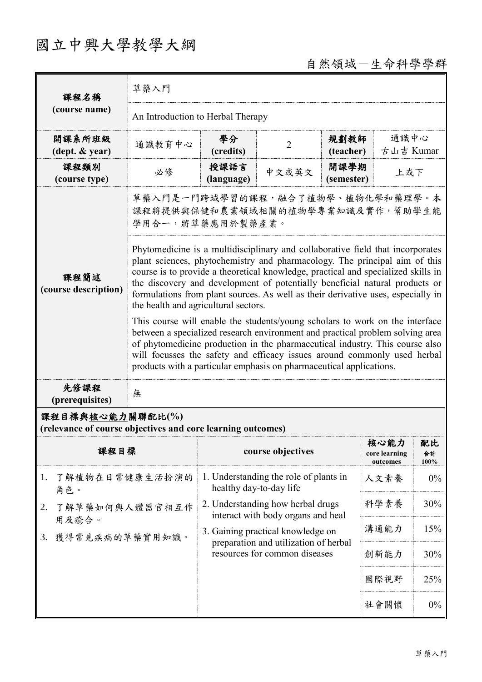# 國立中興大學教學大綱

## 自然領域-生命科學學群

| 課程名稱                                                                            | 草藥入門                                                                                                                                                                                                                                                                                                                                                                                                                                                                                                                                                                                                                                                                                                          |                               |                                                                            |                    |                                   |                  |  |
|---------------------------------------------------------------------------------|---------------------------------------------------------------------------------------------------------------------------------------------------------------------------------------------------------------------------------------------------------------------------------------------------------------------------------------------------------------------------------------------------------------------------------------------------------------------------------------------------------------------------------------------------------------------------------------------------------------------------------------------------------------------------------------------------------------|-------------------------------|----------------------------------------------------------------------------|--------------------|-----------------------------------|------------------|--|
| (course name)                                                                   | An Introduction to Herbal Therapy                                                                                                                                                                                                                                                                                                                                                                                                                                                                                                                                                                                                                                                                             |                               |                                                                            |                    |                                   |                  |  |
| 開課系所班級<br>$(\text{dept.} \& \text{ year})$                                      | 通識教育中心                                                                                                                                                                                                                                                                                                                                                                                                                                                                                                                                                                                                                                                                                                        | 學分<br>(credits)               | $\overline{2}$                                                             | 規劃教師<br>(teacher)  | 通識中心<br>古山吉 Kumar                 |                  |  |
| 課程類別<br>(course type)                                                           | 必修                                                                                                                                                                                                                                                                                                                                                                                                                                                                                                                                                                                                                                                                                                            | 授課語言<br>(language)            | 中文或英文                                                                      | 開課學期<br>(semester) | 上或下                               |                  |  |
|                                                                                 | 草藥入門是一門跨域學習的課程,融合了植物學、植物化學和藥理學。本<br>課程將提供與保健和農業領域相關的植物學專業知識及實作,幫助學生能<br>學用合一,將草藥應用於製藥產業。                                                                                                                                                                                                                                                                                                                                                                                                                                                                                                                                                                                                                      |                               |                                                                            |                    |                                   |                  |  |
| 課程簡述<br>(course description)                                                    | Phytomedicine is a multidisciplinary and collaborative field that incorporates<br>plant sciences, phytochemistry and pharmacology. The principal aim of this<br>course is to provide a theoretical knowledge, practical and specialized skills in<br>the discovery and development of potentially beneficial natural products or<br>formulations from plant sources. As well as their derivative uses, especially in<br>the health and agricultural sectors.<br>This course will enable the students/young scholars to work on the interface<br>between a specialized research environment and practical problem solving area<br>of phytomedicine production in the pharmaceutical industry. This course also |                               |                                                                            |                    |                                   |                  |  |
| 先修課程                                                                            | will focusses the safety and efficacy issues around commonly used herbal<br>products with a particular emphasis on pharmaceutical applications.                                                                                                                                                                                                                                                                                                                                                                                                                                                                                                                                                               |                               |                                                                            |                    |                                   |                  |  |
| (prerequisites)                                                                 | 無                                                                                                                                                                                                                                                                                                                                                                                                                                                                                                                                                                                                                                                                                                             |                               |                                                                            |                    |                                   |                  |  |
| 課程目標與核心能力關聯配比(%)<br>(relevance of course objectives and core learning outcomes) |                                                                                                                                                                                                                                                                                                                                                                                                                                                                                                                                                                                                                                                                                                               |                               |                                                                            |                    |                                   |                  |  |
| 課程目標                                                                            |                                                                                                                                                                                                                                                                                                                                                                                                                                                                                                                                                                                                                                                                                                               |                               | course objectives                                                          |                    | 核心能力<br>core learning<br>outcomes | 配比<br>合計<br>100% |  |
| 了解植物在日常健康生活扮演的<br>1.<br>角色。                                                     |                                                                                                                                                                                                                                                                                                                                                                                                                                                                                                                                                                                                                                                                                                               | healthy day-to-day life       | 1. Understanding the role of plants in                                     |                    | 人文素養                              | $0\%$            |  |
| 2.<br>了解草藥如何與人體器官相互作<br>用及癒合。                                                   |                                                                                                                                                                                                                                                                                                                                                                                                                                                                                                                                                                                                                                                                                                               |                               | 2. Understanding how herbal drugs<br>interact with body organs and heal    |                    | 科學素養                              | 30%              |  |
| 獲得常見疾病的草藥實用知識。<br>3.                                                            |                                                                                                                                                                                                                                                                                                                                                                                                                                                                                                                                                                                                                                                                                                               |                               | 3. Gaining practical knowledge on<br>preparation and utilization of herbal |                    | 溝通能力                              | 15%              |  |
|                                                                                 |                                                                                                                                                                                                                                                                                                                                                                                                                                                                                                                                                                                                                                                                                                               | resources for common diseases |                                                                            |                    | 創新能力                              | 30%              |  |
|                                                                                 |                                                                                                                                                                                                                                                                                                                                                                                                                                                                                                                                                                                                                                                                                                               |                               |                                                                            |                    | 國際視野                              | 25%              |  |
|                                                                                 |                                                                                                                                                                                                                                                                                                                                                                                                                                                                                                                                                                                                                                                                                                               |                               |                                                                            |                    | 社會關懷                              | $0\%$            |  |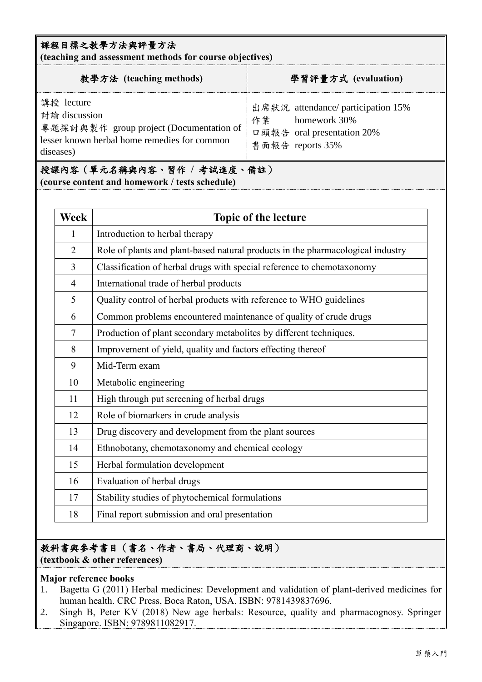#### 課程目標之教學方法與評量方法

**(teaching and assessment methods for course objectives)**

| 教學方法 (teaching methods)                                                                                                             | 學習評量方式 (evaluation)                                                                                        |  |  |
|-------------------------------------------------------------------------------------------------------------------------------------|------------------------------------------------------------------------------------------------------------|--|--|
| 講授 lecture<br>討論 discussion<br>專題探討與製作 group project (Documentation of<br>lesser known herbal home remedies for common<br>diseases) | 出席狀況 attendance/ participation 15%<br>homework 30%<br>作業<br>口頭報告 oral presentation 20%<br>書面報告 reports 35% |  |  |
|                                                                                                                                     |                                                                                                            |  |  |

授課內容(單元名稱與內容、習作 **/** 考試進度、備註) **(course content and homework / tests schedule)**

| <b>Week</b>    | <b>Topic of the lecture</b>                                                     |  |  |  |  |
|----------------|---------------------------------------------------------------------------------|--|--|--|--|
| 1              | Introduction to herbal therapy                                                  |  |  |  |  |
| $\overline{2}$ | Role of plants and plant-based natural products in the pharmacological industry |  |  |  |  |
| $\overline{3}$ | Classification of herbal drugs with special reference to chemotaxonomy          |  |  |  |  |
| $\overline{4}$ | International trade of herbal products                                          |  |  |  |  |
| 5              | Quality control of herbal products with reference to WHO guidelines             |  |  |  |  |
| 6              | Common problems encountered maintenance of quality of crude drugs               |  |  |  |  |
| $\tau$         | Production of plant secondary metabolites by different techniques.              |  |  |  |  |
| 8              | Improvement of yield, quality and factors effecting thereof                     |  |  |  |  |
| 9              | Mid-Term exam                                                                   |  |  |  |  |
| 10             | Metabolic engineering                                                           |  |  |  |  |
| 11             | High through put screening of herbal drugs                                      |  |  |  |  |
| 12             | Role of biomarkers in crude analysis                                            |  |  |  |  |
| 13             | Drug discovery and development from the plant sources                           |  |  |  |  |
| 14             | Ethnobotany, chemotaxonomy and chemical ecology                                 |  |  |  |  |
| 15             | Herbal formulation development                                                  |  |  |  |  |
| 16             | Evaluation of herbal drugs                                                      |  |  |  |  |
| 17             | Stability studies of phytochemical formulations                                 |  |  |  |  |
| 18             | Final report submission and oral presentation                                   |  |  |  |  |

## 教科書與參考書目(書名、作者、書局、代理商、說明)

#### **(textbook & other references)**

#### **Major reference books**

- 1. Bagetta G (2011) Herbal medicines: Development and validation of plant-derived medicines for human health. CRC Press, Boca Raton, USA. ISBN: 9781439837696.
- 2. Singh B, Peter KV (2018) New age herbals: Resource, quality and pharmacognosy. Springer Singapore. ISBN: 9789811082917.